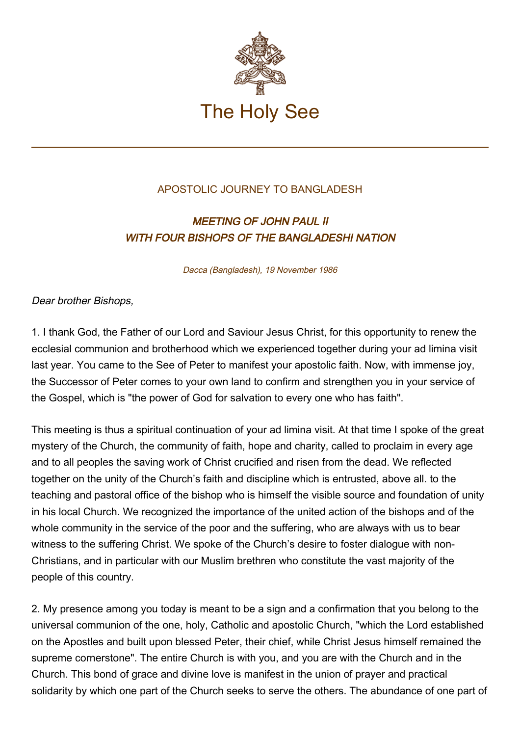

## APOSTOLIC JOURNEY TO BANGLADESH

## MEETING OF JOHN PAUL II WITH FOUR BISHOPS OF THE BANGLADESHI NATION

Dacca (Bangladesh), 19 November 1986

Dear brother Bishops,

1. I thank God, the Father of our Lord and Saviour Jesus Christ, for this opportunity to renew the ecclesial communion and brotherhood which we experienced together during your ad limina visit last year. You came to the See of Peter to manifest your apostolic faith. Now, with immense joy, the Successor of Peter comes to your own land to confirm and strengthen you in your service of the Gospel, which is "the power of God for salvation to every one who has faith".

This meeting is thus a spiritual continuation of your ad limina visit. At that time I spoke of the great mystery of the Church, the community of faith, hope and charity, called to proclaim in every age and to all peoples the saving work of Christ crucified and risen from the dead. We reflected together on the unity of the Church's faith and discipline which is entrusted, above all. to the teaching and pastoral office of the bishop who is himself the visible source and foundation of unity in his local Church. We recognized the importance of the united action of the bishops and of the whole community in the service of the poor and the suffering, who are always with us to bear witness to the suffering Christ. We spoke of the Church's desire to foster dialogue with non-Christians, and in particular with our Muslim brethren who constitute the vast majority of the people of this country.

2. My presence among you today is meant to be a sign and a confirmation that you belong to the universal communion of the one, holy, Catholic and apostolic Church, "which the Lord established on the Apostles and built upon blessed Peter, their chief, while Christ Jesus himself remained the supreme cornerstone". The entire Church is with you, and you are with the Church and in the Church. This bond of grace and divine love is manifest in the union of prayer and practical solidarity by which one part of the Church seeks to serve the others. The abundance of one part of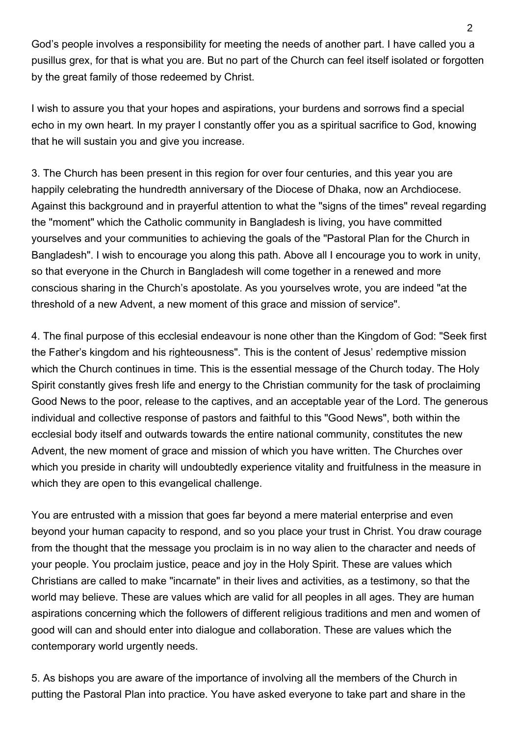God's people involves a responsibility for meeting the needs of another part. I have called you a pusillus grex, for that is what you are. But no part of the Church can feel itself isolated or forgotten by the great family of those redeemed by Christ.

I wish to assure you that your hopes and aspirations, your burdens and sorrows find a special echo in my own heart. In my prayer I constantly offer you as a spiritual sacrifice to God, knowing that he will sustain you and give you increase.

3. The Church has been present in this region for over four centuries, and this year you are happily celebrating the hundredth anniversary of the Diocese of Dhaka, now an Archdiocese. Against this background and in prayerful attention to what the "signs of the times" reveal regarding the "moment" which the Catholic community in Bangladesh is living, you have committed yourselves and your communities to achieving the goals of the "Pastoral Plan for the Church in Bangladesh". I wish to encourage you along this path. Above all I encourage you to work in unity, so that everyone in the Church in Bangladesh will come together in a renewed and more conscious sharing in the Church's apostolate. As you yourselves wrote, you are indeed "at the threshold of a new Advent, a new moment of this grace and mission of service".

4. The final purpose of this ecclesial endeavour is none other than the Kingdom of God: "Seek first the Father's kingdom and his righteousness". This is the content of Jesus' redemptive mission which the Church continues in time. This is the essential message of the Church today. The Holy Spirit constantly gives fresh life and energy to the Christian community for the task of proclaiming Good News to the poor, release to the captives, and an acceptable year of the Lord. The generous individual and collective response of pastors and faithful to this "Good News", both within the ecclesial body itself and outwards towards the entire national community, constitutes the new Advent, the new moment of grace and mission of which you have written. The Churches over which you preside in charity will undoubtedly experience vitality and fruitfulness in the measure in which they are open to this evangelical challenge.

You are entrusted with a mission that goes far beyond a mere material enterprise and even beyond your human capacity to respond, and so you place your trust in Christ. You draw courage from the thought that the message you proclaim is in no way alien to the character and needs of your people. You proclaim justice, peace and joy in the Holy Spirit. These are values which Christians are called to make "incarnate" in their lives and activities, as a testimony, so that the world may believe. These are values which are valid for all peoples in all ages. They are human aspirations concerning which the followers of different religious traditions and men and women of good will can and should enter into dialogue and collaboration. These are values which the contemporary world urgently needs.

5. As bishops you are aware of the importance of involving all the members of the Church in putting the Pastoral Plan into practice. You have asked everyone to take part and share in the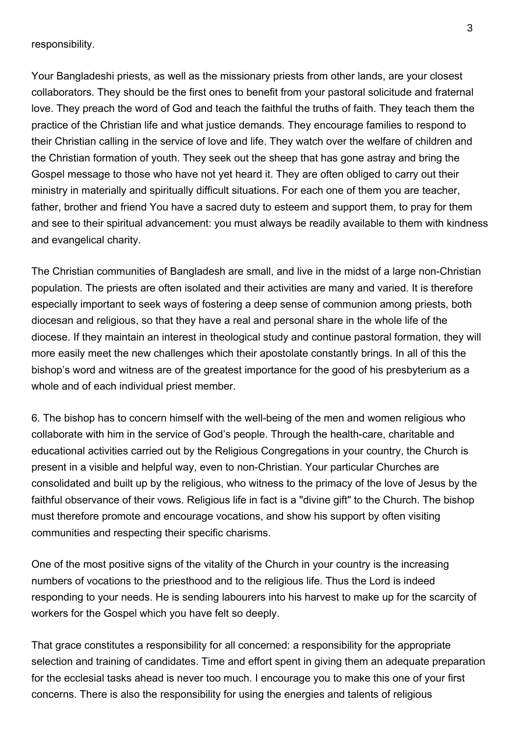responsibility.

Your Bangladeshi priests, as well as the missionary priests from other lands, are your closest collaborators. They should be the first ones to benefit from your pastoral solicitude and fraternal love. They preach the word of God and teach the faithful the truths of faith. They teach them the practice of the Christian life and what justice demands. They encourage families to respond to their Christian calling in the service of love and life. They watch over the welfare of children and the Christian formation of youth. They seek out the sheep that has gone astray and bring the Gospel message to those who have not yet heard it. They are often obliged to carry out their ministry in materially and spiritually difficult situations. For each one of them you are teacher, father, brother and friend You have a sacred duty to esteem and support them, to pray for them and see to their spiritual advancement: you must always be readily available to them with kindness and evangelical charity.

The Christian communities of Bangladesh are small, and live in the midst of a large non-Christian population. The priests are often isolated and their activities are many and varied. It is therefore especially important to seek ways of fostering a deep sense of communion among priests, both diocesan and religious, so that they have a real and personal share in the whole life of the diocese. If they maintain an interest in theological study and continue pastoral formation, they will more easily meet the new challenges which their apostolate constantly brings. In all of this the bishop's word and witness are of the greatest importance for the good of his presbyterium as a whole and of each individual priest member.

6. The bishop has to concern himself with the well-being of the men and women religious who collaborate with him in the service of God's people. Through the health-care, charitable and educational activities carried out by the Religious Congregations in your country, the Church is present in a visible and helpful way, even to non-Christian. Your particular Churches are consolidated and built up by the religious, who witness to the primacy of the love of Jesus by the faithful observance of their vows. Religious life in fact is a "divine gift" to the Church. The bishop must therefore promote and encourage vocations, and show his support by often visiting communities and respecting their specific charisms.

One of the most positive signs of the vitality of the Church in your country is the increasing numbers of vocations to the priesthood and to the religious life. Thus the Lord is indeed responding to your needs. He is sending labourers into his harvest to make up for the scarcity of workers for the Gospel which you have felt so deeply.

That grace constitutes a responsibility for all concerned: a responsibility for the appropriate selection and training of candidates. Time and effort spent in giving them an adequate preparation for the ecclesial tasks ahead is never too much. I encourage you to make this one of your first concerns. There is also the responsibility for using the energies and talents of religious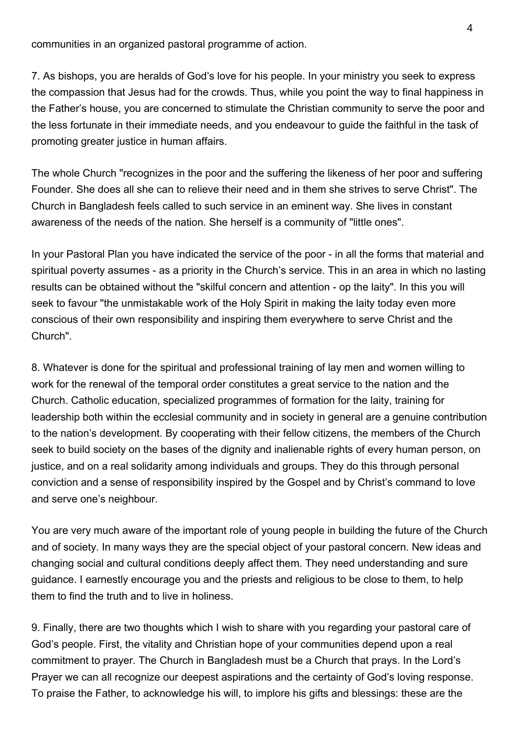communities in an organized pastoral programme of action.

7. As bishops, you are heralds of God's love for his people. In your ministry you seek to express the compassion that Jesus had for the crowds. Thus, while you point the way to final happiness in the Father's house, you are concerned to stimulate the Christian community to serve the poor and the less fortunate in their immediate needs, and you endeavour to guide the faithful in the task of promoting greater justice in human affairs.

The whole Church "recognizes in the poor and the suffering the likeness of her poor and suffering Founder. She does all she can to relieve their need and in them she strives to serve Christ". The Church in Bangladesh feels called to such service in an eminent way. She lives in constant awareness of the needs of the nation. She herself is a community of "little ones".

In your Pastoral Plan you have indicated the service of the poor - in all the forms that material and spiritual poverty assumes - as a priority in the Church's service. This in an area in which no lasting results can be obtained without the "skilful concern and attention - op the laity". In this you will seek to favour "the unmistakable work of the Holy Spirit in making the laity today even more conscious of their own responsibility and inspiring them everywhere to serve Christ and the Church".

8. Whatever is done for the spiritual and professional training of lay men and women willing to work for the renewal of the temporal order constitutes a great service to the nation and the Church. Catholic education, specialized programmes of formation for the laity, training for leadership both within the ecclesial community and in society in general are a genuine contribution to the nation's development. By cooperating with their fellow citizens, the members of the Church seek to build society on the bases of the dignity and inalienable rights of every human person, on justice, and on a real solidarity among individuals and groups. They do this through personal conviction and a sense of responsibility inspired by the Gospel and by Christ's command to love and serve one's neighbour.

You are very much aware of the important role of young people in building the future of the Church and of society. In many ways they are the special object of your pastoral concern. New ideas and changing social and cultural conditions deeply affect them. They need understanding and sure guidance. I earnestly encourage you and the priests and religious to be close to them, to help them to find the truth and to live in holiness.

9. Finally, there are two thoughts which I wish to share with you regarding your pastoral care of God's people. First, the vitality and Christian hope of your communities depend upon a real commitment to prayer. The Church in Bangladesh must be a Church that prays. In the Lord's Prayer we can all recognize our deepest aspirations and the certainty of God's loving response. To praise the Father, to acknowledge his will, to implore his gifts and blessings: these are the